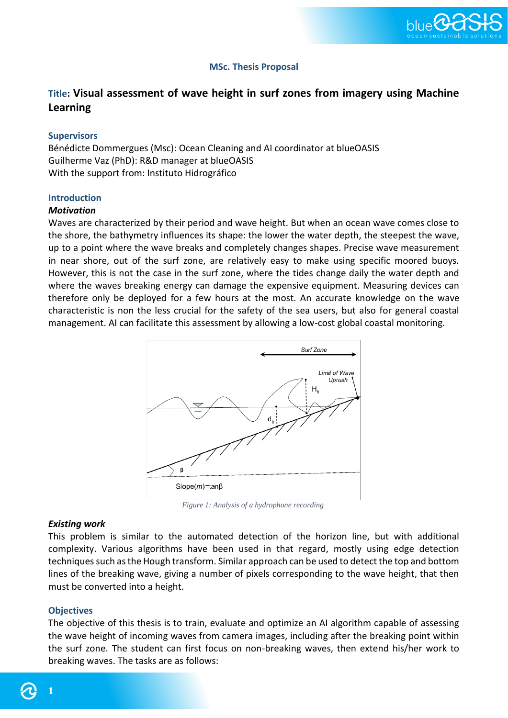

# **MSc. Thesis Proposal**

# **Title: Visual assessment of wave height in surf zones from imagery using Machine Learning**

#### **Supervisors**

Bénédicte Dommergues (Msc): Ocean Cleaning and AI coordinator at blueOASIS Guilherme Vaz (PhD): R&D manager at blueOASIS With the support from: Instituto Hidrográfico

#### **Introduction**

#### *Motivation*

Waves are characterized by their period and wave height. But when an ocean wave comes close to the shore, the bathymetry influences its shape: the lower the water depth, the steepest the wave, up to a point where the wave breaks and completely changes shapes. Precise wave measurement in near shore, out of the surf zone, are relatively easy to make using specific moored buoys. However, this is not the case in the surf zone, where the tides change daily the water depth and where the waves breaking energy can damage the expensive equipment. Measuring devices can therefore only be deployed for a few hours at the most. An accurate knowledge on the wave characteristic is non the less crucial for the safety of the sea users, but also for general coastal management. AI can facilitate this assessment by allowing a low-cost global coastal monitoring.



*Figure 1: Analysis of a hydrophone recording*

#### *Existing work*

This problem is similar to the automated detection of the horizon line, but with additional complexity. Various algorithms have been used in that regard, mostly using edge detection techniques such as the Hough transform. Similar approach can be used to detect the top and bottom lines of the breaking wave, giving a number of pixels corresponding to the wave height, that then must be converted into a height.

#### **Objectives**

The objective of this thesis is to train, evaluate and optimize an AI algorithm capable of assessing the wave height of incoming waves from camera images, including after the breaking point within the surf zone. The student can first focus on non-breaking waves, then extend his/her work to breaking waves. The tasks are as follows:

**1**